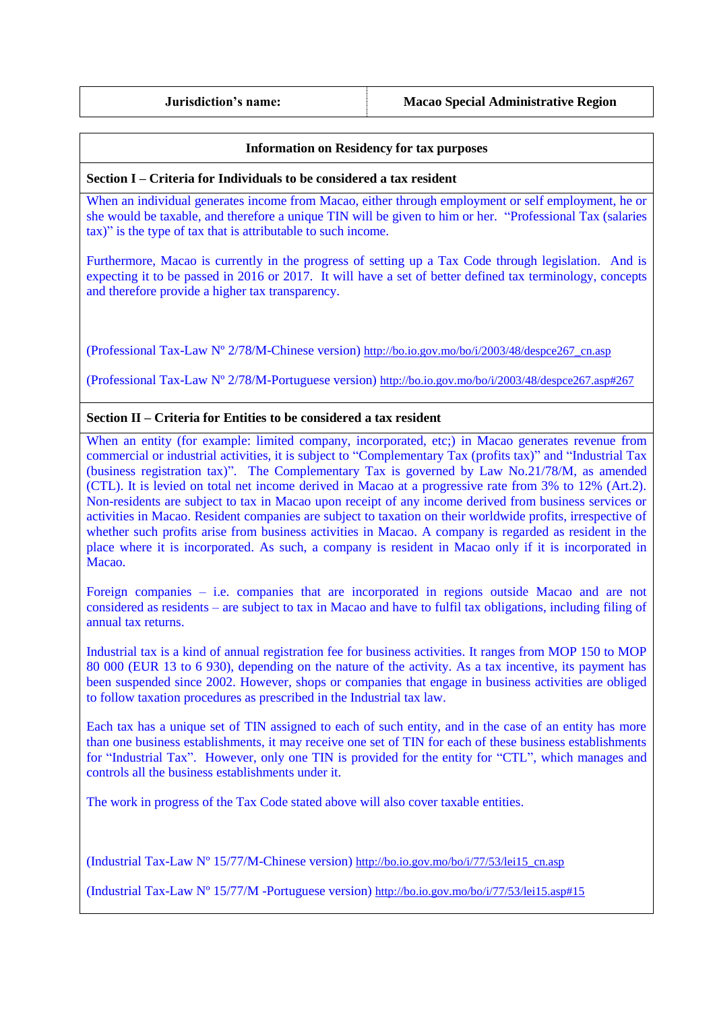**Jurisdiction's name: Macao Special Administrative Region**

## **Information on Residency for tax purposes**

## **Section I – Criteria for Individuals to be considered a tax resident**

When an individual generates income from Macao, either through employment or self employment, he or she would be taxable, and therefore a unique TIN will be given to him or her. "Professional Tax (salaries tax)" is the type of tax that is attributable to such income.

Furthermore, Macao is currently in the progress of setting up a Tax Code through legislation. And is expecting it to be passed in 2016 or 2017. It will have a set of better defined tax terminology, concepts and therefore provide a higher tax transparency.

(Professional Tax-Law Nº 2/78/M-Chinese version) [http://bo.io.gov.mo/bo/i/2003/48/despce267\\_cn.asp](http://bo.io.gov.mo/bo/i/2003/48/despce267_cn.asp)

(Professional Tax-Law Nº 2/78/M-Portuguese version) <http://bo.io.gov.mo/bo/i/2003/48/despce267.asp#267>

## **Section II – Criteria for Entities to be considered a tax resident**

When an entity (for example: limited company, incorporated, etc:) in Macao generates revenue from commercial or industrial activities, it is subject to "Complementary Tax (profits tax)" and "Industrial Tax (business registration tax)". The Complementary Tax is governed by Law No.21/78/M, as amended (CTL). It is levied on total net income derived in Macao at a progressive rate from 3% to 12% (Art.2). Non-residents are subject to tax in Macao upon receipt of any income derived from business services or activities in Macao. Resident companies are subject to taxation on their worldwide profits, irrespective of whether such profits arise from business activities in Macao. A company is regarded as resident in the place where it is incorporated. As such, a company is resident in Macao only if it is incorporated in Macao.

Foreign companies – i.e. companies that are incorporated in regions outside Macao and are not considered as residents – are subject to tax in Macao and have to fulfil tax obligations, including filing of annual tax returns.

Industrial tax is a kind of annual registration fee for business activities. It ranges from MOP 150 to MOP 80 000 (EUR 13 to 6 930), depending on the nature of the activity. As a tax incentive, its payment has been suspended since 2002. However, shops or companies that engage in business activities are obliged to follow taxation procedures as prescribed in the Industrial tax law.

Each tax has a unique set of TIN assigned to each of such entity, and in the case of an entity has more than one business establishments, it may receive one set of TIN for each of these business establishments for "Industrial Tax". However, only one TIN is provided for the entity for "CTL", which manages and controls all the business establishments under it.

The work in progress of the Tax Code stated above will also cover taxable entities.

(Industrial Tax-Law Nº 15/77/M-Chinese version) [http://bo.io.gov.mo/bo/i/77/53/lei15\\_cn.asp](http://bo.io.gov.mo/bo/i/77/53/lei15_cn.asp)

(Industrial Tax-Law Nº 15/77/M -Portuguese version) <http://bo.io.gov.mo/bo/i/77/53/lei15.asp#15>